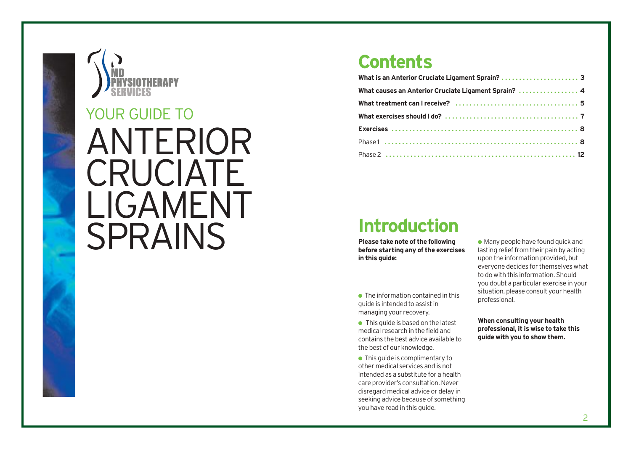

# ANTERIOR **CRUCIATE** LIGAMENT YOUR GUIDE TO<br>ANTERIO<br>CRUCIAT<br>LIGAMEN<br>SPRAINS

## **Contents**

| What causes an Anterior Cruciate Ligament Sprain?  4 |  |
|------------------------------------------------------|--|
|                                                      |  |
|                                                      |  |
|                                                      |  |
|                                                      |  |
|                                                      |  |

## **Introduction**

**Please take note of the following before starting any of the exercises in this guide:**

● The information contained in this guide is in tended to assist in managing your recovery.

● This quide is based on the latest medical r e search in the field and con tains the be st advice available to the best of our knowledge.

● This guide is complimentary to other medical services and is not in tended as a substitute for a health care provider's consultation. Never disregard medical advice or delay in seeking advice because of something you have read in this guide.

 $\bullet$  Many people have found quick and lasting relief from their pain by acting upon the in formation provided, but e veryone decides for themselves what to do with this information. Should you doubt a particular exercise in your situation, please consult your health professional.

**When consulting your health pr o f e ssional, it is wise to take this guide with you to show them.**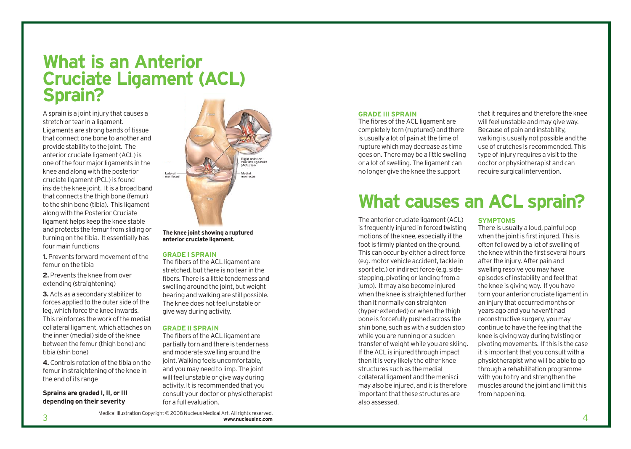## **What is an Anterior Cruciate Ligament (ACL) Sprain?**

A sprain is a joint injury that causes a stretch or tear in a ligament. Ligaments are strong bands of tissue that connect one bone to another and provide stability to the joint. The anterior cruciate ligament (ACL) is one of the four major ligaments in the knee and along with the posterior cruciate ligament (PCL) is found inside the knee joint. It is a broad band that connects the thigh bone (femur) to the shin bone (tibia). This ligament along with the Posterior Cruciate ligament helps keep the knee stable and protects the femur from sliding or turning on the tibia. It essentially has four main functions

**1.** Prevents forward movement of the femur on the tibia

**2.** Prevents the knee from over extending (straightening)

**3.**Acts as a secondary stabilizer to forces applied to the outer side of the leg, which force the knee inwards. This reinforces the work of the medial collateral ligament, which attaches on the inner (medial) side of the knee between the femur (thigh bone) and tibia (shin bone)

**4.** Controls rotation of the tibia on the femur in straightening of the knee in the end of its range

## **Sprains are graded I, II, or III depending on their severity**



**The knee joint showing a ruptured anterior cruciate ligament.**

### **GRADE I SPRAIN**

The fibers of the ACL ligament are stretched, but there is no tear in the fibers. There is a little tenderness and swelling around the joint, but weight bearing and walking are still possible. The knee does not feel unstable or give way during activity.

### **GRADE II SPRAIN**

The fibers of the ACL ligament are partially torn and there is tenderness and moderate swelling around the joint. Walking feels uncomfortable, and you may need to limp. The joint will feel unstable or give way during activity. It is recommended that you consult your doctor or physiotherapist for a full evaluation.

### **GRADE III SPRAIN**

The fibres of the ACL ligament are completely torn (ruptured) and there is usually a lot of pain at the time of rupture which may decrease as time goes on. There may be a little swelling or a lot of swelling. The ligament can no longer give the knee the support

that it requires and therefore the knee will feel unstable and may give way. Because of pain and instability, walking is usually not possible and the use of crutches is recommended. This type of injury requires a visit to the doctor or physiotherapist and can require surgical intervention.

## **What causes an ACL sprain?**

The anterior cruciate ligament (ACL) is frequently injured in forced twisting motions of the knee, especially if the foot is firmly planted on the ground. This can occur by either a direct force (e.g. motor vehicle accident, tackle in sport etc.) or indirect force (e.g. sidestepping, pivoting or landing from a jump). It may also become injured when the knee is straightened further than it normally can straighten (hyper-extended) or when the thigh bone is forcefully pushed across the shin bone, such as with a sudden stop while you are running or a sudden transfer of weight while you are skiing. If the ACL is injured through impact then it is very likely the other knee structures such as the medial collateral ligament and the menisci may also be injured, and it is therefore important that these structures are also assessed.

### **SYMPTOMS**

There is usually a loud, painful pop when the joint is first injured. This is often followed by a lot of swelling of the knee within the first several hours after the injury. After pain and swelling resolve you may have episodes of instability and feel that the knee is giving way. If you have torn your anterior cruciate ligament in an injury that occurred months or years ago and you haven't had reconstructive surgery, you may continue to have the feeling that the knee is giving way during twisting or pivoting movements. If this is the case it is important that you consult with a physiotherapist who will be able to go through a rehabilitation programme with you to try and strengthen the muscles around the joint and limit this from happening.

Medical Illustration Copyright © 2008 Nucleus Medical Art, All rights reserved. 3 **www.nucleusinc.com**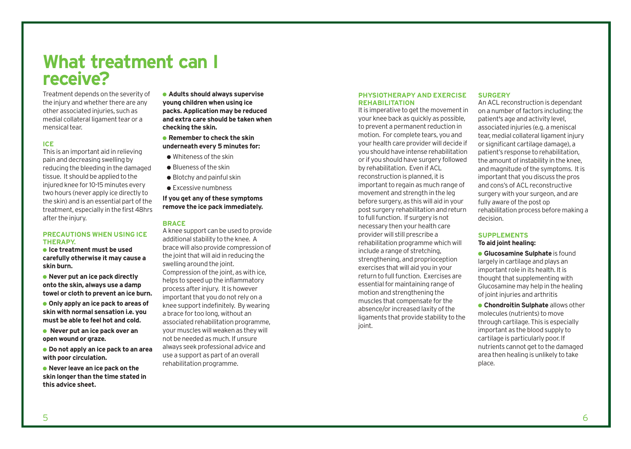## **What treatment can I receive?**

Treatment depends on the severity of the injury and whether there are any other associated injuries, such as medial collateral ligament tear or a mensical tear.

## **ICE**

This is an important aid in relieving pain and decreasing swelling by reducing the bleeding in the damaged tissue. It should be applied to the injured knee for 10-15 minutes every two hours (never apply ice directly to the skin) and is an essential part of the treatment, especially in the first 48hrs after the injury.

### **PRECAUTIONS WHEN USING ICE THERAPY.**

● **Ice treatment must be used carefully otherwise it may cause a skin burn.**

● **Never put an ice pack directly onto the skin, always use a damp towel or cloth to prevent an ice burn.**

● **Only apply an ice pack to areas of skin with normal sensation i.e. you must be able to feel hot and cold.**

● **Never put an ice pack over an open wound or graze.**

● **Do not apply an ice pack to an area with poor circulation.**

● **Never leave an ice pack on the skin longer than the time stated in this advice sheet.**

● **Adults should always supervise young children when using ice packs. Application may be reduced and extra care should be taken when checking the skin.**

- **Remember to check the skin underneath every 5 minutes for:**
- Whiteness of the skin
- Blueness of the skin
- $\bullet$  Blotchy and painful skin
- Excessive numbness

## **If you get any of these symptoms remove the ice pack immediately.**

### **BRACE**

A knee support can be used to provide additional stability to the knee. A brace will also provide compression of the joint that will aid in reducing the swelling around the joint. Compression of the joint, as with ice, helps to speed up the inflammatory process after injury. It is however important that you do not rely on a knee support indefinitely. By wearing a brace for too long, without an associated rehabilitation programme, your muscles will weaken as they will not be needed as much. If unsure always seek professional advice and use a support as part of an overall rehabilitation programme.

### **PHYSIOTHERAPY AND EXERCISE REHABILITATION**

It is imperative to get the movement in your knee back as quickly as possible, to prevent a permanent reduction in motion. For complete tears, you and your health care provider will decide if you should have intense rehabilitation or if you should have surgery followed by rehabilitation. Even if ACL reconstruction is planned, it is important to regain as much range of movement and strength in the leg before surgery, as this will aid in your post surgery rehabilitation and return to full function. If surgery is not necessary then your health care provider will still prescribe a rehabilitation programme which will include a range of stretching, strengthening, and proprioception exercises that will aid you in your return to full function. Exercises are essential for maintaining range of motion and strengthening the muscles that compensate for the absence/or increased laxity of the ligaments that provide stability to the joint.

### **SURGERY**

An ACL reconstruction is dependant on a number of factors including; the patient's age and activity level, associated injuries (e.g. a meniscal tear, medial collateral ligament injury or significant cartilage damage), a patient's response to rehabilitation, the amount of instability in the knee, and magnitude of the symptoms. It is important that you discuss the pros and cons's of ACL reconstructive surgery with your surgeon, and are fully aware of the post op rehabilitation process before making a decision.

### **SUPPLEMENTS To aid joint healing:**

**• Glucosamine Sulphate** is found largely in cartilage and plays an important role in its health. It is thought that supplementing with Glucosamine may help in the healing of joint injuries and arthritis

● **Chondroitin Sulphate** allows other molecules (nutrients) to move through cartilage. This is especially important as the blood supply to cartilage is particularly poor. If nutrients cannot get to the damaged area then healing is unlikely to take place.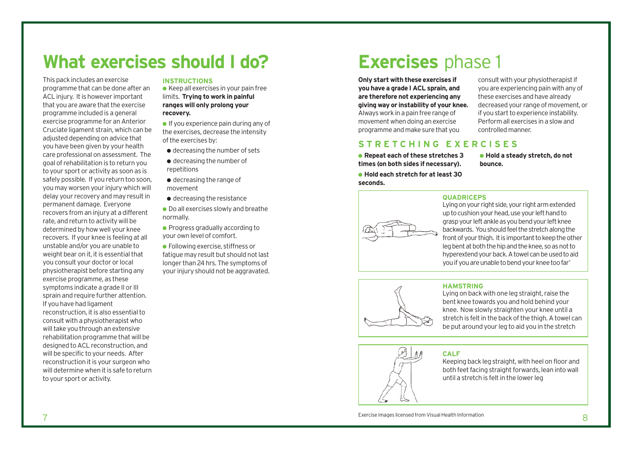## **What exercises should I do?**

This pack includes an exercise programme that can be done after an ACL injury. It is however important that you are aware that the exercise programme included is a general exercise programme for an Anterior Cruciate ligament strain, which can be adjusted depending on advice that you have been given by your health care professional on assessment. The goal of rehabilitation is to return you to your sport or activity as soon as is safely possible. If you return too soon, you may worsen your injury which will delay your recovery and may result in permanent damage. Everyone recovers from an injury at a different rate, and return to activity will be determined by how well your knee recovers. If your knee is feeling at all unstable and/or you are unable to weight bear on it, it is essential that you consult your doctor or local physiotherapist before starting any exercise programme, as these symptoms indicate a grade II or III sprain and require further attention. If you have had ligament reconstruction, it is also essential to consult with a physiotherapist who will take you through an extensive rehabilitation programme that will be designed to ACL reconstruction, and will be specific to your needs. After reconstruction it is your surgeon who will determine when it is safe to return to your sport or activity.

## **INSTRUCTIONS**

 $\bullet$  Keep all exercises in your pain free limits. **Trying to work in painful ranges will only prolong your recovery.**

 $\bullet$  If you experience pain during any of the exercises, decrease the intensity of the exercises by:

- decreasing the number of sets
- decreasing the number of repetitions
- $\bullet$  decreasing the range of movement
- $\bullet$  decreasing the resistance
- Do all exercises slowly and breathe normally.

● Progress gradually according to your own level of comfort.

● Following exercise, stiffness or fatigue may result but should not last longer than 24 hrs. The symptoms of your injury should not be aggravated.

## **Exercises** phase 1

**Only start with these exercises if you have a grade I ACL sprain, and are therefore not experiencing any giving way or instability of your knee.** Always work in a pain free range of movement when doing an exercise programme and make sure that you

consult with your physiotherapist if you are experiencing pain with any of these exercises and have already decreased your range of movement, or if you start to experience instability. Perform all exercises in a slow and controlled manner.

## **STRETCHING EXERCISES**

● **Repeat each of these stretches 3 times (on both sides if necessary).**

● **Hold each stretch for at least 30 seconds.**

● **Hold a steady stretch, do not bounce.**



## **QUADRICEPS**

Lying on your right side, your right arm extended up to cushion your head, use your left hand to grasp your left ankle as you bend your left knee backwards. You should feel the stretch along the front of your thigh. It is important to keep the other leg bent at both the hip and the knee, so as not to hyperextend your back. A towel can be used to aid you if you are unable to bend your knee too far'



## **HAMSTRING**

Lying on back with one leg straight, raise the bent knee towards you and hold behind your knee. Now slowly straighten your knee until a stretch is felt in the back of the thigh. A towel can be put around your leg to aid you in the stretch



## **CALF**

Keeping back leg straight, with heel on floor and both feet facing straight forwards, lean into wall until a stretch is felt in the lower leg

Exercise images licensed from Visual Health Information Music Service in the Service images licensed from Visual Health Information Service images licensed from Visual Health Information Service in the Service in the Servi Exercise images licensed from Visual Health Information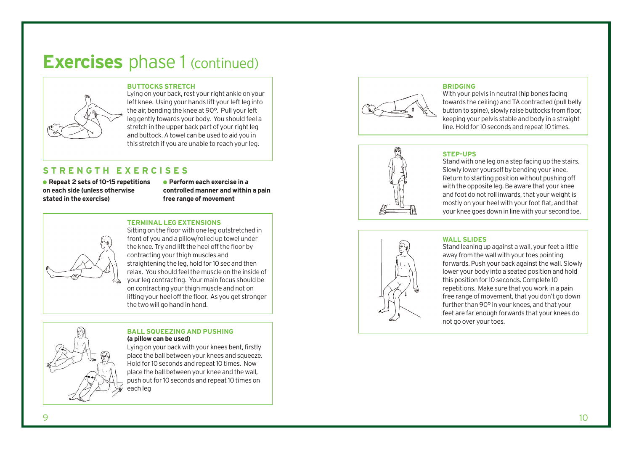## **Exercises** phase 1 (continued)

## **BUTTOCKS STRETCH**

Lying on your back, rest your right ankle on your left knee. Using your hands lift your left leg into the air, bending the knee at 90°. Pull your left leg gently towards your body. You should feel a stretch in the upper back part of your right leg and buttock. A towel can be used to aid you in this stretch if you are unable to reach your leg.

## **STRENGTH EXERCISES**

● **Repeat 2 sets of 10-15 repetitions on each side (unless otherwise stated in the exercise)**

● **Perform each exercise in a controlled manner and within a pain free range of mo vemen t**

## **TERMINAL LEG EXTENSIONS**

Sitting on the floor with one leg outstretched in front of you and a pillow/rolled up towel under the knee. Try and lift the heel off the floor by contracting your thigh muscles and straightening the leg, hold for 10 sec and then relax. You should feel the muscle on the inside of your leg contracting. Your main focus should be on contracting your thigh muscle and not on lifting your heel o ff the floor. As you get stronger the two will go hand in hand.

## **BALL SQUEEZING AND PUSHING (a pillow can be used)**

Lying on your back with your knees bent, firstly place the ball between your knees and squeeze. Hold for 10 seconds and repeat 10 times. Now place the ball between your knee and the wall, push out for 10 seconds and repeat 10 times on each leg

## **BRIDGING**



## With your pelvis in neutral (hip bones facing towards the ceiling) and TA contracted (pull belly button to spine), slowly raise buttocks from floor, keeping your pelvis stable and body in a straight line. Hold for 10 seconds and repeat 10 times.



## **STEP-UPS**

Stand with one leg on a step facing up the stairs. Slowly lower yourself by bending your knee. Return to starting position without pushing off with the opposite leg. Be aware that your knee and foot do not roll inwards, that your weight is mostly on your heel with your foot flat, and that your knee goes down in line with your second toe.



## **WALL SLIDES**

Stand leaning up against a wall, your feet a little away from the wall with your toes pointing forwards. Push your back against the wall. Slowly lower your body into a seated position and hold this position for 10 seconds. Complete 10 repetitions. Make sure that you work in a pain free range of movement, that you don't go down further than 90° in your knee s, and that your feet are far enough forwards that your knees do not go over your toes.

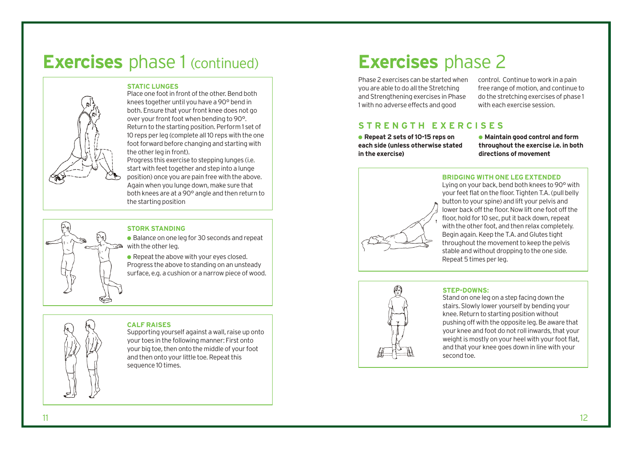## **Exercises** phase 1 (continued)

## **STATIC LUNGES**

Place one foot in front of the other. Bend both knees together until you have a 90° bend in both. Ensure that your front knee does not go over your front foot when bending to 90°. Return to the starting position. Perform 1 set of 10 reps per leg (complete all 10 reps with the one foot forward before changing and starting with the other leg in front).

Progress this exercise to stepping lunges (i.e. start with feet together and step into a lunge position) once you are pain free with the above. Again when you lunge down, make sure that both knees are at a 90° angle and then return to the starting position

## **STORK STANDING**

● Balance on one leg for 30 seconds and repeat with the other lea.

● Repeat the above with your eyes closed. Progress the above to standing on an unsteady surface, e.g. a cushion or a narrow piece of wood.

# **CALF RAISES**

Supporting yourself against a wall, raise up onto your toes in the following manner: First onto your big toe, then onto the middle of your foot and then onto your little toe. Repeat this sequence 10 times.

## **Exercises** phase 2

Phase 2 exercises can be started when you are able to do all the Stretching and Strengthening exercises in Phase 1 with no adverse effects and good

control. Continue to work in a pain free range of motion, and continue to do the stretching exercises of phase 1 with each exercise session.

## **STRENGTH EXERCISES**

● **Repeat 2 sets of 10-15 reps on each side (unless otherwise stated in the exercise)**

● **Maintain good control and form throughout the exercise i.e. in both directions of movement**

**BRIDGING WITH ONE LEG EXTENDED** Lying on your back, bend both knees to 90° with

your feet flat on the floor. Tighten T.A. (pull belly button to your spine) and lift your pelvis and lower back off the floor. Now lift one foot off the floor, hold for 10 sec, put it back down, repeat with the other foot, and then relax completely. Begin again. Keep the T.A. and Glutes tight throughout the movement to keep the pelvis stable and without dropping to the one side. Repeat 5 times per leg.



## **STEP-DOWNS:**

Stand on one leg on a step facing down the stairs. Slowly lower yourself by bending your knee. Return to starting position without pushing off with the opposite leg. Be aware that your knee and foot do not roll inwards, that your weight is mostly on your heel with your foot flat. and that your knee goes down in line with your second toe.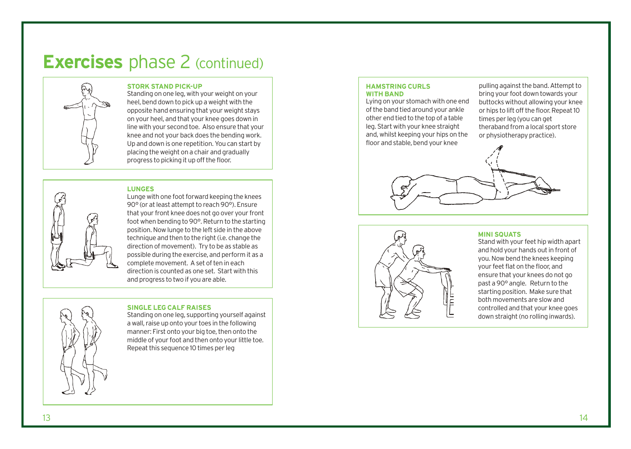## **Exercises** phase 2 (continued)



## **STORK STAND PICK-UP**

Standing on one leg, with your weight on your heel, bend down to pick up a weight with the opposite hand ensuring that your weight stays on your heel, and that your knee goes down in line with your second toe. Also ensure that your knee and not your back does the bending work. Up and down is one repetition. You can start by placing the weight on a chair and gradually progress to picking it up off the floor.

## **LUNGES**

Lunge with one foot forward keeping the knees 90° (or at least attempt to reach 90°). Ensure that your front knee does not go over your front foot when bending to 90°. Return to the starting position. Now lunge to the left side in the above technique and then to the right (i.e. change the direction of movement). Try to be as stable as possible during the exercise, and perform it as a complete movement. A set of ten in each direction is counted as one set. Start with this and progress to two if you are able.



## **SINGLE LEG CALF RAISES**

Standing on one leg, supporting yourself against a wall, raise up onto your toes in the following manner: First onto your big toe, then onto the middle of your foot and then onto your little toe. Repeat this sequence 10 times per leg

## **HAMSTRING CURLS WITH BAND**

Lying on your stomach with one end of the band tied around your ankle other end tied to the top of a table leg. Start with your knee straight and, whilst keeping your hips on the floor and stable, bend your knee

pulling against the band. Attempt to bring your foot down towards your buttocks without allowing your knee or hips to lift off the floor. Repeat 10 times per leg (you can get theraband from a local sport store or physiotherapy practice).





### **MINI SQUATS**

Stand with your feet hip width apart and hold your hands out in front of you. Now bend the knees keeping your feet flat on the floor, and ensure that your knees do not go past a 90° angle. Return to the starting position. Make sure that both movements are slow and controlled and that your knee goes down straight (no rolling inwards).